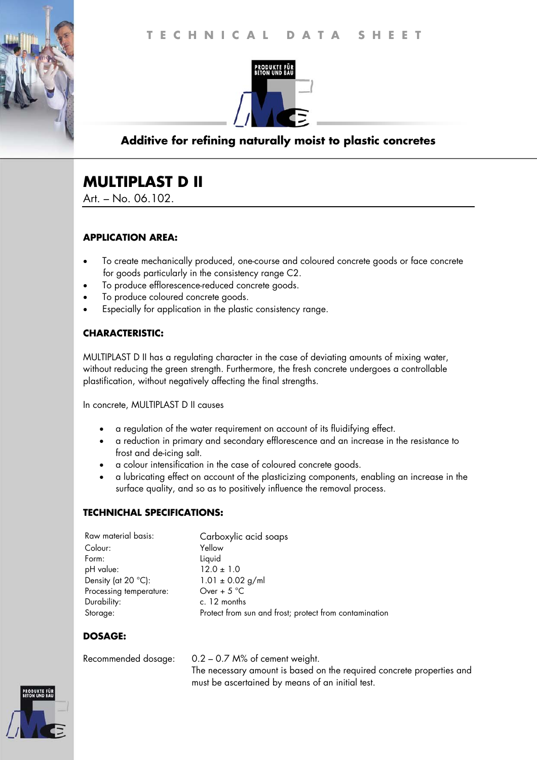

## **Additive for refining naturally moist to plastic concretes**

# **MULTIPLAST D II**

Art. – No. 06.102.

## **APPLICATION AREA:**

- To create mechanically produced, one-course and coloured concrete goods or face concrete for goods particularly in the consistency range C2.
- To produce efflorescence-reduced concrete goods.
- To produce coloured concrete goods.
- Especially for application in the plastic consistency range.

## **CHARACTERISTIC:**

MULTIPLAST D II has a regulating character in the case of deviating amounts of mixing water, without reducing the green strength. Furthermore, the fresh concrete undergoes a controllable plastification, without negatively affecting the final strengths.

In concrete, MULTIPLAST D II causes

- a regulation of the water requirement on account of its fluidifying effect.
- a reduction in primary and secondary efflorescence and an increase in the resistance to frost and de-icing salt.
- a colour intensification in the case of coloured concrete goods.
- a lubricating effect on account of the plasticizing components, enabling an increase in the surface quality, and so as to positively influence the removal process.

#### **TECHNICHAL SPECIFICATIONS:**

| Raw material basis:           | Carboxylic acid soaps                                  |
|-------------------------------|--------------------------------------------------------|
| Colour:                       | Yellow                                                 |
| Form:                         | Liquid                                                 |
| pH value:                     | $12.0 \pm 1.0$                                         |
| Density (at 20 $^{\circ}$ C): | $1.01 \pm 0.02$ g/ml                                   |
| Processing temperature:       | Over + $5^{\circ}$ C                                   |
| Durability:                   | c. 12 months                                           |
| Storage:                      | Protect from sun and frost; protect from contamination |

## **DOSAGE:**

Recommended dosage: 0.2 – 0.7 M% of cement weight. The necessary amount is based on the required concrete properties and must be ascertained by means of an initial test.